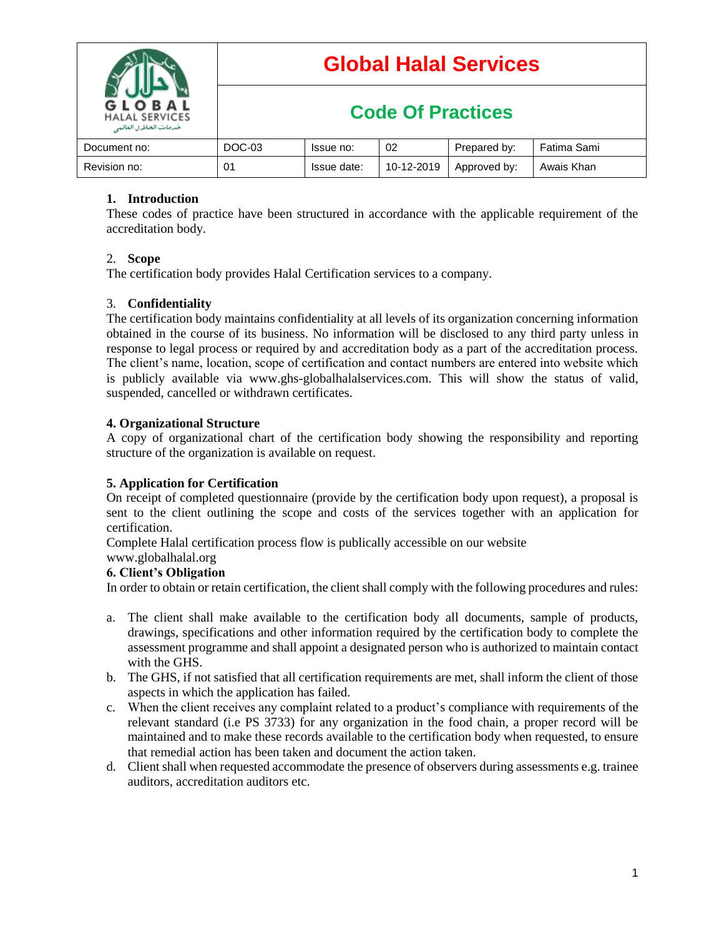

# **Global Halal Services**

## **Code Of Practices**

| Document no: | DOC-03 | Issue no:   | 02         | Prepared by: | Fatima Sami |
|--------------|--------|-------------|------------|--------------|-------------|
| Revision no: | 01     | Issue date: | 10-12-2019 | Approved by: | Awais Khan  |

## **1. Introduction**

These codes of practice have been structured in accordance with the applicable requirement of the accreditation body.

## 2. **Scope**

The certification body provides Halal Certification services to a company.

## 3. **Confidentiality**

The certification body maintains confidentiality at all levels of its organization concerning information obtained in the course of its business. No information will be disclosed to any third party unless in response to legal process or required by and accreditation body as a part of the accreditation process. The client's name, location, scope of certification and contact numbers are entered into website which is publicly available via www.ghs-globalhalalservices.com. This will show the status of valid, suspended, cancelled or withdrawn certificates.

## **4. Organizational Structure**

A copy of organizational chart of the certification body showing the responsibility and reporting structure of the organization is available on request.

## **5. Application for Certification**

On receipt of completed questionnaire (provide by the certification body upon request), a proposal is sent to the client outlining the scope and costs of the services together with an application for certification.

Complete Halal certification process flow is publically accessible on our website

#### www.globalhalal.org **6. Client's Obligation**

In order to obtain or retain certification, the client shall comply with the following procedures and rules:

- a. The client shall make available to the certification body all documents, sample of products, drawings, specifications and other information required by the certification body to complete the assessment programme and shall appoint a designated person who is authorized to maintain contact with the GHS.
- b. The GHS, if not satisfied that all certification requirements are met, shall inform the client of those aspects in which the application has failed.
- c. When the client receives any complaint related to a product's compliance with requirements of the relevant standard (i.e PS 3733) for any organization in the food chain, a proper record will be maintained and to make these records available to the certification body when requested, to ensure that remedial action has been taken and document the action taken.
- d. Client shall when requested accommodate the presence of observers during assessments e.g. trainee auditors, accreditation auditors etc.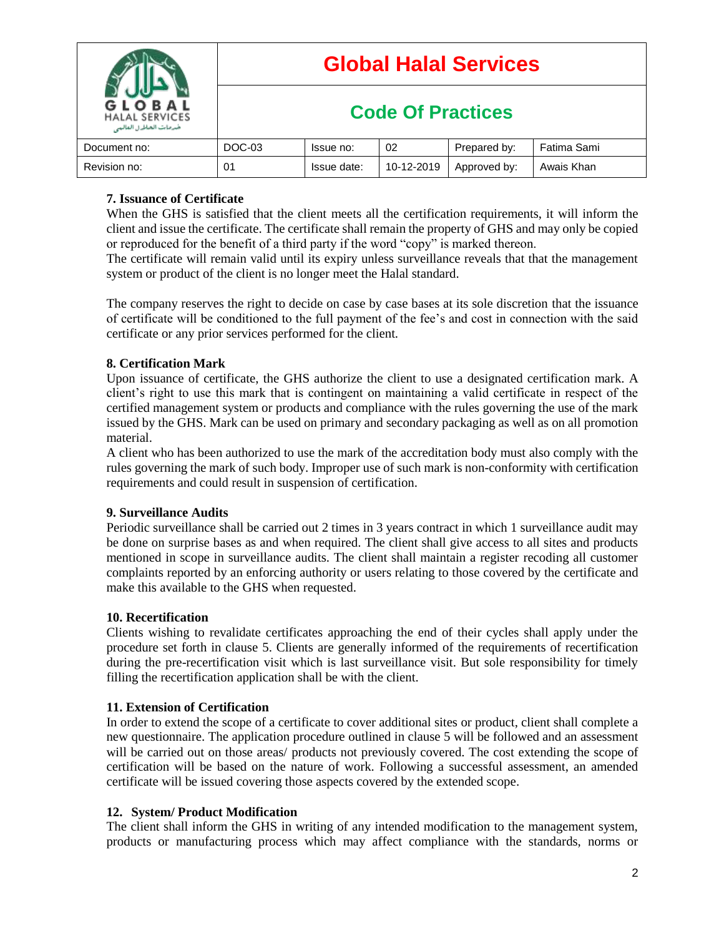| GLOBAL<br><b>HALAL SERVICES</b><br>خدمات الحاط ل الماليي | <b>Global Halal Services</b> |             |            |              |             |  |
|----------------------------------------------------------|------------------------------|-------------|------------|--------------|-------------|--|
|                                                          | <b>Code Of Practices</b>     |             |            |              |             |  |
| Document no:                                             | DOC-03                       | Issue no:   | 02         | Prepared by: | Fatima Sami |  |
| Revision no:                                             | 01                           | Issue date: | 10-12-2019 | Approved by: | Awais Khan  |  |

## **7. Issuance of Certificate**

When the GHS is satisfied that the client meets all the certification requirements, it will inform the client and issue the certificate. The certificate shall remain the property of GHS and may only be copied or reproduced for the benefit of a third party if the word "copy" is marked thereon.

The certificate will remain valid until its expiry unless surveillance reveals that that the management system or product of the client is no longer meet the Halal standard.

The company reserves the right to decide on case by case bases at its sole discretion that the issuance of certificate will be conditioned to the full payment of the fee's and cost in connection with the said certificate or any prior services performed for the client.

## **8. Certification Mark**

Upon issuance of certificate, the GHS authorize the client to use a designated certification mark. A client's right to use this mark that is contingent on maintaining a valid certificate in respect of the certified management system or products and compliance with the rules governing the use of the mark issued by the GHS. Mark can be used on primary and secondary packaging as well as on all promotion material.

A client who has been authorized to use the mark of the accreditation body must also comply with the rules governing the mark of such body. Improper use of such mark is non-conformity with certification requirements and could result in suspension of certification.

## **9. Surveillance Audits**

Periodic surveillance shall be carried out 2 times in 3 years contract in which 1 surveillance audit may be done on surprise bases as and when required. The client shall give access to all sites and products mentioned in scope in surveillance audits. The client shall maintain a register recoding all customer complaints reported by an enforcing authority or users relating to those covered by the certificate and make this available to the GHS when requested.

## **10. Recertification**

Clients wishing to revalidate certificates approaching the end of their cycles shall apply under the procedure set forth in clause 5. Clients are generally informed of the requirements of recertification during the pre-recertification visit which is last surveillance visit. But sole responsibility for timely filling the recertification application shall be with the client.

## **11. Extension of Certification**

In order to extend the scope of a certificate to cover additional sites or product, client shall complete a new questionnaire. The application procedure outlined in clause 5 will be followed and an assessment will be carried out on those areas/ products not previously covered. The cost extending the scope of certification will be based on the nature of work. Following a successful assessment, an amended certificate will be issued covering those aspects covered by the extended scope.

#### **12. System/ Product Modification**

The client shall inform the GHS in writing of any intended modification to the management system, products or manufacturing process which may affect compliance with the standards, norms or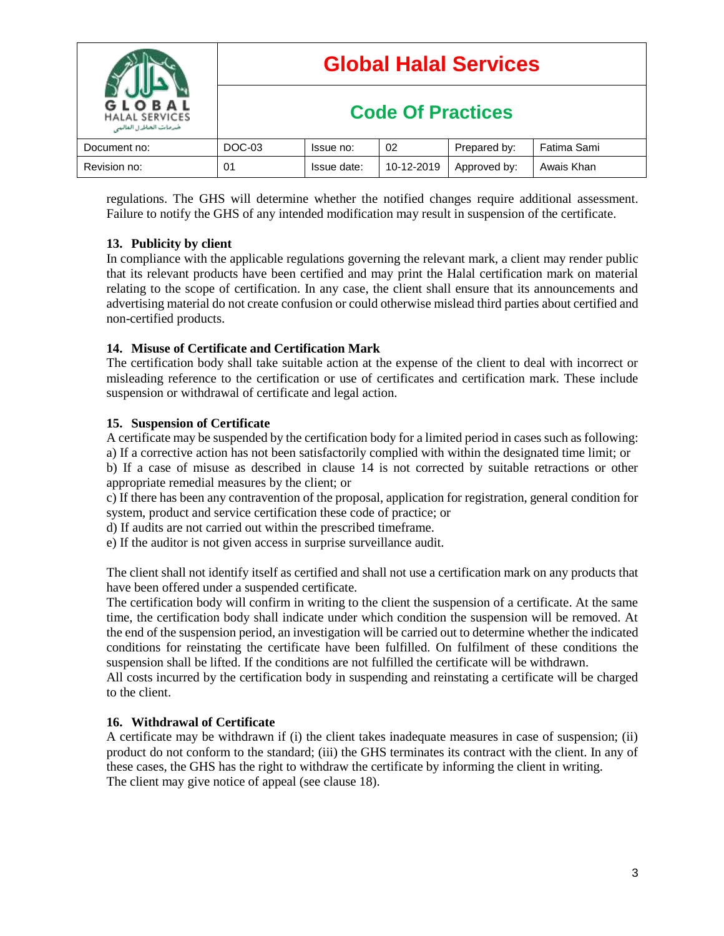

regulations. The GHS will determine whether the notified changes require additional assessment. Failure to notify the GHS of any intended modification may result in suspension of the certificate.

## **13. Publicity by client**

In compliance with the applicable regulations governing the relevant mark, a client may render public that its relevant products have been certified and may print the Halal certification mark on material relating to the scope of certification. In any case, the client shall ensure that its announcements and advertising material do not create confusion or could otherwise mislead third parties about certified and non-certified products.

## **14. Misuse of Certificate and Certification Mark**

The certification body shall take suitable action at the expense of the client to deal with incorrect or misleading reference to the certification or use of certificates and certification mark. These include suspension or withdrawal of certificate and legal action.

## **15. Suspension of Certificate**

A certificate may be suspended by the certification body for a limited period in cases such as following: a) If a corrective action has not been satisfactorily complied with within the designated time limit; or

b) If a case of misuse as described in clause 14 is not corrected by suitable retractions or other appropriate remedial measures by the client; or

c) If there has been any contravention of the proposal, application for registration, general condition for system, product and service certification these code of practice; or

d) If audits are not carried out within the prescribed timeframe.

e) If the auditor is not given access in surprise surveillance audit.

The client shall not identify itself as certified and shall not use a certification mark on any products that have been offered under a suspended certificate.

The certification body will confirm in writing to the client the suspension of a certificate. At the same time, the certification body shall indicate under which condition the suspension will be removed. At the end of the suspension period, an investigation will be carried out to determine whether the indicated conditions for reinstating the certificate have been fulfilled. On fulfilment of these conditions the suspension shall be lifted. If the conditions are not fulfilled the certificate will be withdrawn.

All costs incurred by the certification body in suspending and reinstating a certificate will be charged to the client.

## **16. Withdrawal of Certificate**

A certificate may be withdrawn if (i) the client takes inadequate measures in case of suspension; (ii) product do not conform to the standard; (iii) the GHS terminates its contract with the client. In any of these cases, the GHS has the right to withdraw the certificate by informing the client in writing. The client may give notice of appeal (see clause 18).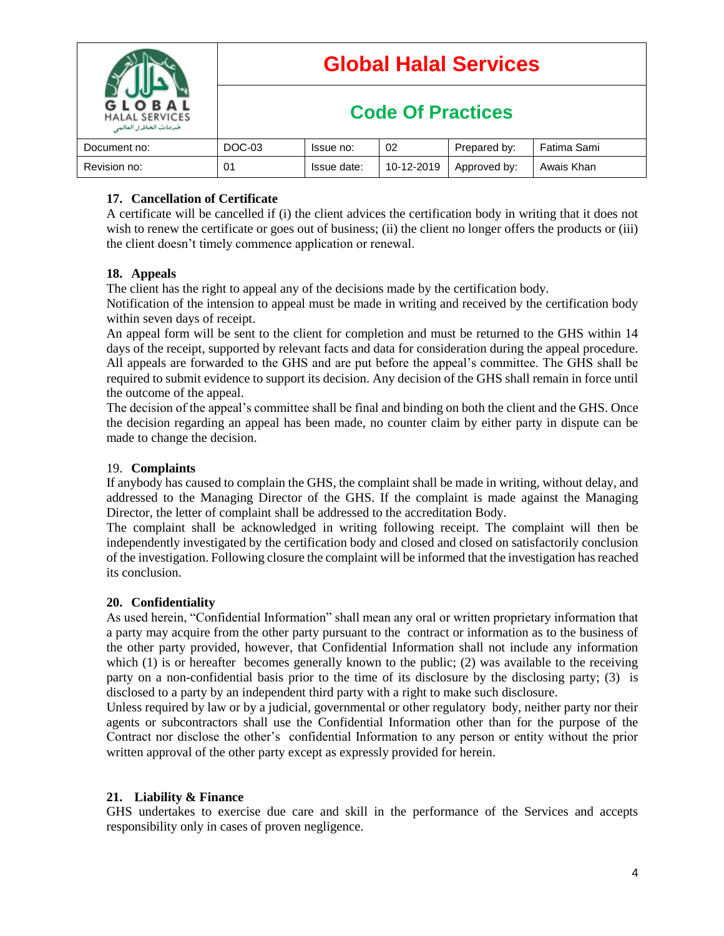| BAL<br><b>HALAL SERVICES</b><br>خدمات الخاطرل الماليي | <b>Global Halal Services</b> |             |            |              |             |  |  |
|-------------------------------------------------------|------------------------------|-------------|------------|--------------|-------------|--|--|
|                                                       | <b>Code Of Practices</b>     |             |            |              |             |  |  |
| Document no:                                          | DOC-03                       | Issue no:   | 02         | Prepared by: | Fatima Sami |  |  |
| Revision no:                                          | 01                           | Issue date: | 10-12-2019 | Approved by: | Awais Khan  |  |  |

## **17. Cancellation of Certificate**

A certificate will be cancelled if (i) the client advices the certification body in writing that it does not wish to renew the certificate or goes out of business; (ii) the client no longer offers the products or (iii) the client doesn't timely commence application or renewal.

## **18. Appeals**

The client has the right to appeal any of the decisions made by the certification body.

Notification of the intension to appeal must be made in writing and received by the certification body within seven days of receipt.

An appeal form will be sent to the client for completion and must be returned to the GHS within 14 days of the receipt, supported by relevant facts and data for consideration during the appeal procedure. All appeals are forwarded to the GHS and are put before the appeal's committee. The GHS shall be required to submit evidence to support its decision. Any decision of the GHS shall remain in force until the outcome of the appeal.

The decision of the appeal's committee shall be final and binding on both the client and the GHS. Once the decision regarding an appeal has been made, no counter claim by either party in dispute can be made to change the decision.

## 19. **Complaints**

If anybody has caused to complain the GHS, the complaint shall be made in writing, without delay, and addressed to the Managing Director of the GHS. If the complaint is made against the Managing Director, the letter of complaint shall be addressed to the accreditation Body.

The complaint shall be acknowledged in writing following receipt. The complaint will then be independently investigated by the certification body and closed and closed on satisfactorily conclusion of the investigation. Following closure the complaint will be informed that the investigation has reached its conclusion.

## **20. Confidentiality**

As used herein, "Confidential Information" shall mean any oral or written proprietary information that a party may acquire from the other party pursuant to the contract or information as to the business of the other party provided, however, that Confidential Information shall not include any information which (1) is or hereafter becomes generally known to the public; (2) was available to the receiving party on a non-confidential basis prior to the time of its disclosure by the disclosing party; (3) is disclosed to a party by an independent third party with a right to make such disclosure.

Unless required by law or by a judicial, governmental or other regulatory body, neither party nor their agents or subcontractors shall use the Confidential Information other than for the purpose of the Contract nor disclose the other's confidential Information to any person or entity without the prior written approval of the other party except as expressly provided for herein.

## **21. Liability & Finance**

GHS undertakes to exercise due care and skill in the performance of the Services and accepts responsibility only in cases of proven negligence.